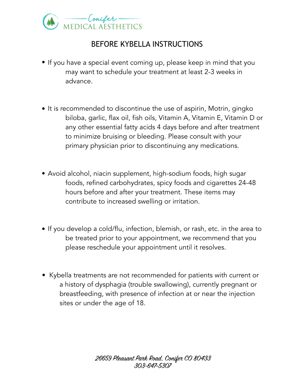

## BEFORE KYBELLA INSTRUCTIONS

- If you have a special event coming up, please keep in mind that you may want to schedule your treatment at least 2-3 weeks in advance.
- It is recommended to discontinue the use of aspirin, Motrin, gingko biloba, garlic, flax oil, fish oils, Vitamin A, Vitamin E, Vitamin D or any other essential fatty acids 4 days before and after treatment to minimize bruising or bleeding. Please consult with your primary physician prior to discontinuing any medications.
- Avoid alcohol, niacin supplement, high-sodium foods, high sugar foods, refined carbohydrates, spicy foods and cigarettes 24-48 hours before and after your treatment. These items may contribute to increased swelling or irritation.
- If you develop a cold/flu, infection, blemish, or rash, etc. in the area to be treated prior to your appointment, we recommend that you please reschedule your appointment until it resolves.
- Kybella treatments are not recommended for patients with current or a history of dysphagia (trouble swallowing), currently pregnant or breastfeeding, with presence of infection at or near the injection sites or under the age of 18.